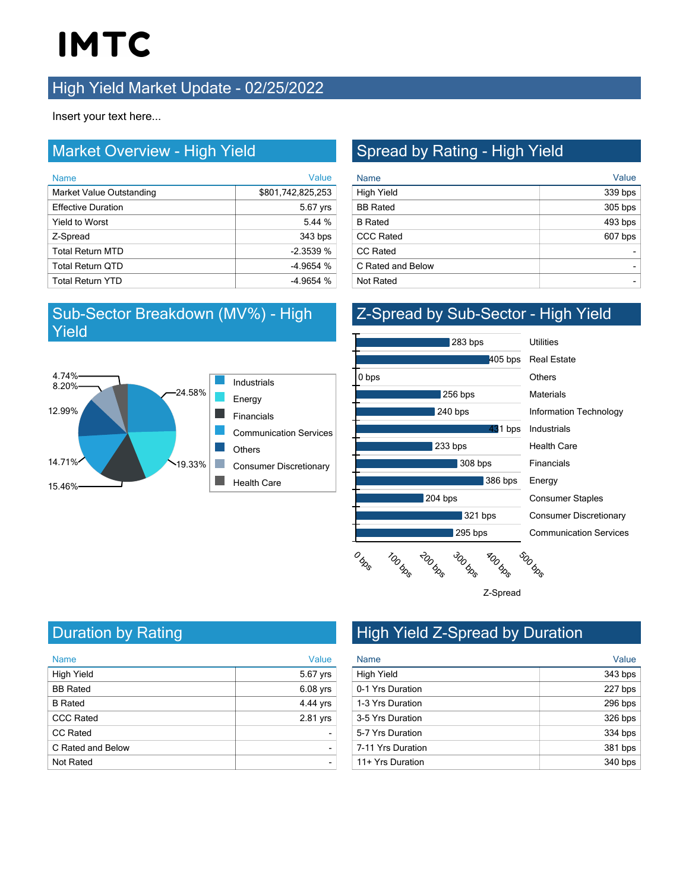# **IMTC**

#### **High Yield Market Update - 02/25/2022**

Insert your text here...

#### Market Overview - High Yield

| <b>Name</b>               | Value             |
|---------------------------|-------------------|
| Market Value Outstanding  | \$801,742,825,253 |
| <b>Effective Duration</b> | 5.67 yrs          |
| <b>Yield to Worst</b>     | 5.44 %            |
| Z-Spread                  | 343 bps           |
| <b>Total Return MTD</b>   | $-2.3539%$        |
| <b>Total Return QTD</b>   | $-4.9654%$        |
| <b>Total Return YTD</b>   | $-4.9654%$        |

#### Sub-Sector Breakdown (MV%) - High Yield



### Spread by Rating - High Yield

| <b>Name</b>       | Value   |
|-------------------|---------|
| High Yield        | 339 bps |
| <b>BB</b> Rated   | 305 bps |
| <b>B</b> Rated    | 493 bps |
| <b>CCC Rated</b>  | 607 bps |
| <b>CC Rated</b>   |         |
| C Rated and Below |         |
| <b>Not Rated</b>  |         |

#### Z-Spread by Sub-Sector - High Yield



Communication Services Consumer Discretionary Consumer Staples Energy Financials Health Care Industrials Information Technology **Materials Others** 



Duration by Rating

| <b>Name</b>       | Value          |
|-------------------|----------------|
| <b>High Yield</b> | 5.67 yrs       |
| <b>BB</b> Rated   | $6.08$ yrs     |
| <b>B</b> Rated    | 4.44 yrs       |
| <b>CCC Rated</b>  | 2.81 yrs       |
| <b>CC Rated</b>   |                |
| C Rated and Below | $\blacksquare$ |
| <b>Not Rated</b>  |                |

## High Yield Z-Spread by Duration

| <b>Name</b>       | Value     |
|-------------------|-----------|
| High Yield        | 343 bps   |
| 0-1 Yrs Duration  | 227 bps   |
| 1-3 Yrs Duration  | 296 bps   |
| 3-5 Yrs Duration  | $326$ bps |
| 5-7 Yrs Duration  | 334 bps   |
| 7-11 Yrs Duration | 381 bps   |
| 11+ Yrs Duration  | 340 bps   |